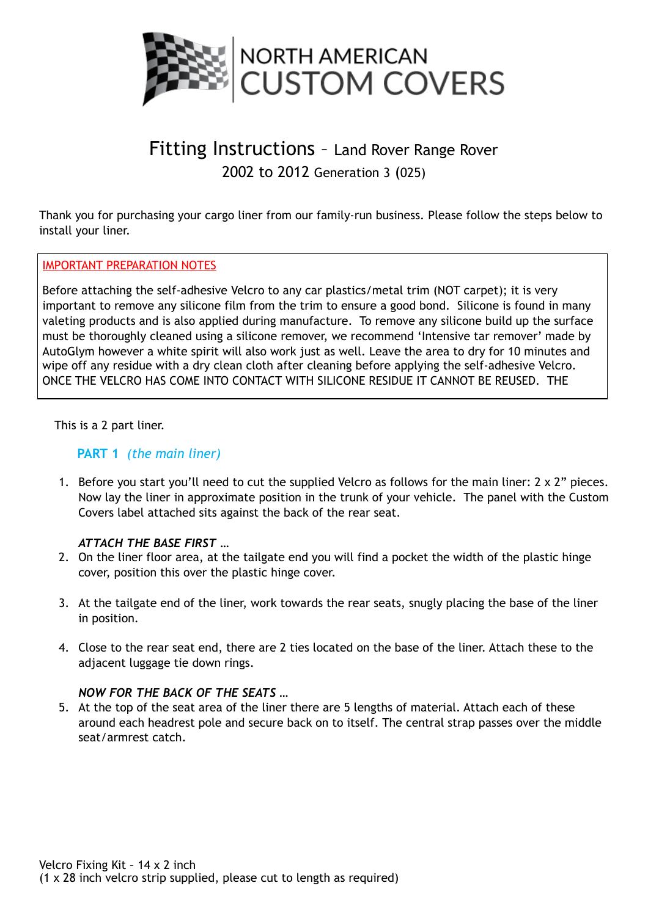

# Fitting Instructions – Land Rover Range Rover 2002 to 2012 Generation 3 (025)

Thank you for purchasing your cargo liner from our family-run business. Please follow the steps below to install your liner.

#### IMPORTANT PREPARATION NOTES

Before attaching the self-adhesive Velcro to any car plastics/metal trim (NOT carpet); it is very important to remove any silicone film from the trim to ensure a good bond. Silicone is found in many valeting products and is also applied during manufacture. To remove any silicone build up the surface must be thoroughly cleaned using a silicone remover, we recommend 'Intensive tar remover' made by AutoGlym however a white spirit will also work just as well. Leave the area to dry for 10 minutes and wipe off any residue with a dry clean cloth after cleaning before applying the self-adhesive Velcro. ONCE THE VELCRO HAS COME INTO CONTACT WITH SILICONE RESIDUE IT CANNOT BE REUSED. THE

This is a 2 part liner.

#### **PART 1** *(the main liner)*

1. Before you start you'll need to cut the supplied Velcro as follows for the main liner: 2 x 2" pieces. Now lay the liner in approximate position in the trunk of your vehicle. The panel with the Custom Covers label attached sits against the back of the rear seat.

#### *ATTACH THE BASE FIRST …*

- 2. On the liner floor area, at the tailgate end you will find a pocket the width of the plastic hinge cover, position this over the plastic hinge cover.
- 3. At the tailgate end of the liner, work towards the rear seats, snugly placing the base of the liner in position.
- 4. Close to the rear seat end, there are 2 ties located on the base of the liner. Attach these to the adjacent luggage tie down rings.

#### *NOW FOR THE BACK OF THE SEATS …*

5. At the top of the seat area of the liner there are 5 lengths of material. Attach each of these around each headrest pole and secure back on to itself. The central strap passes over the middle seat/armrest catch.